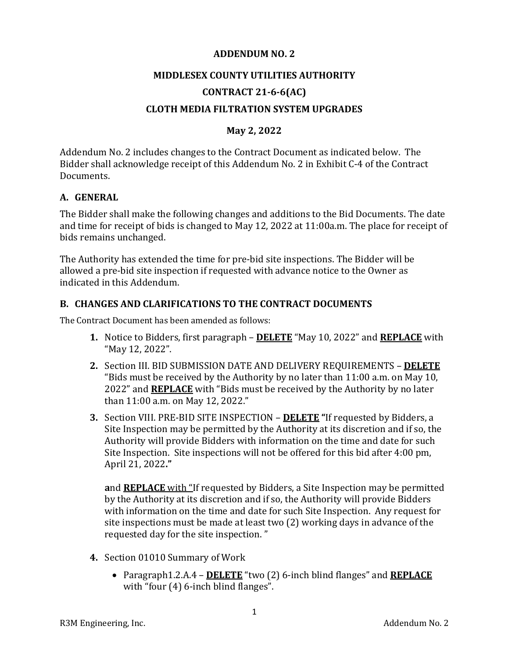#### **ADDENDUM NO. 2**

# **MIDDLESEX COUNTY UTILITIES AUTHORITY**

## **CONTRACT 21-6-6(AC)**

## **CLOTH MEDIA FILTRATION SYSTEM UPGRADES**

## **May 2, 2022**

Addendum No. 2 includes changes to the Contract Document as indicated below. The Bidder shall acknowledge receipt of this Addendum No. 2 in Exhibit C-4 of the Contract Documents.

#### **A. GENERAL**

The Bidder shall make the following changes and additions to the Bid Documents. The date and time for receipt of bids is changed to May 12, 2022 at 11:00a.m. The place for receipt of bids remains unchanged.

The Authority has extended the time for pre-bid site inspections. The Bidder will be allowed a pre-bid site inspection if requested with advance notice to the Owner as indicated in this Addendum.

#### **B. CHANGES AND CLARIFICATIONS TO THE CONTRACT DOCUMENTS**

The Contract Document has been amended as follows:

- **1.** Notice to Bidders, first paragraph **DELETE** "May 10, 2022" and **REPLACE** with "May 12, 2022".
- **2.** Section III. BID SUBMISSION DATE AND DELIVERY REQUIREMENTS **DELETE** "Bids must be received by the Authority by no later than 11:00 a.m. on May 10, 2022" and **REPLACE** with "Bids must be received by the Authority by no later than 11:00 a.m. on May 12, 2022."
- **3.** Section VIII. PRE-BID SITE INSPECTION **DELETE "**If requested by Bidders, a Site Inspection may be permitted by the Authority at its discretion and if so, the Authority will provide Bidders with information on the time and date for such Site Inspection. Site inspections will not be offered for this bid after 4:00 pm, April 21, 2022**."**

**a**nd **REPLACE** with "If requested by Bidders, a Site Inspection may be permitted by the Authority at its discretion and if so, the Authority will provide Bidders with information on the time and date for such Site Inspection. Any request for site inspections must be made at least two (2) working days in advance of the requested day for the site inspection. "

- **4.** Section 01010 Summary of Work
	- Paragraph1.2.A.4 **DELETE** "two (2) 6-inch blind flanges" and **REPLACE** with "four (4) 6-inch blind flanges".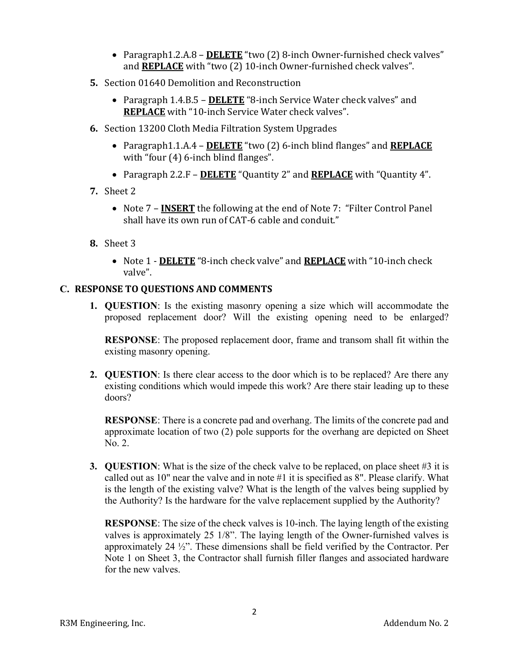- Paragraph1.2.A.8 **DELETE** "two (2) 8-inch Owner-furnished check valves" and **REPLACE** with "two (2) 10-inch Owner-furnished check valves".
- **5.** Section 01640 Demolition and Reconstruction
	- Paragraph 1.4.B.5 **DELETE** "8-inch Service Water check valves" and **REPLACE** with "10-inch Service Water check valves".
- **6.** Section 13200 Cloth Media Filtration System Upgrades
	- Paragraph1.1.A.4 **DELETE** "two (2) 6-inch blind flanges" and **REPLACE** with "four (4) 6-inch blind flanges".
	- Paragraph 2.2.F **DELETE** "Quantity 2" and **REPLACE** with "Quantity 4".
- **7.** Sheet 2
	- Note 7 **INSERT** the following at the end of Note 7: "Filter Control Panel" shall have its own run of CAT-6 cable and conduit."
- **8.** Sheet 3
	- Note 1 **DELETE** "8-inch check valve" and **REPLACE** with "10-inch check valve".

### **C. RESPONSE TO QUESTIONS AND COMMENTS**

**1. QUESTION**: Is the existing masonry opening a size which will accommodate the proposed replacement door? Will the existing opening need to be enlarged?

**RESPONSE**: The proposed replacement door, frame and transom shall fit within the existing masonry opening.

**2. QUESTION**: Is there clear access to the door which is to be replaced? Are there any existing conditions which would impede this work? Are there stair leading up to these doors?

**RESPONSE**: There is a concrete pad and overhang. The limits of the concrete pad and approximate location of two (2) pole supports for the overhang are depicted on Sheet No. 2.

**3. QUESTION**: What is the size of the check valve to be replaced, on place sheet #3 it is called out as 10" near the valve and in note #1 it is specified as 8". Please clarify. What is the length of the existing valve? What is the length of the valves being supplied by the Authority? Is the hardware for the valve replacement supplied by the Authority?

**RESPONSE**: The size of the check valves is 10-inch. The laying length of the existing valves is approximately 25 1/8". The laying length of the Owner-furnished valves is approximately 24 ½". These dimensions shall be field verified by the Contractor. Per Note 1 on Sheet 3, the Contractor shall furnish filler flanges and associated hardware for the new valves.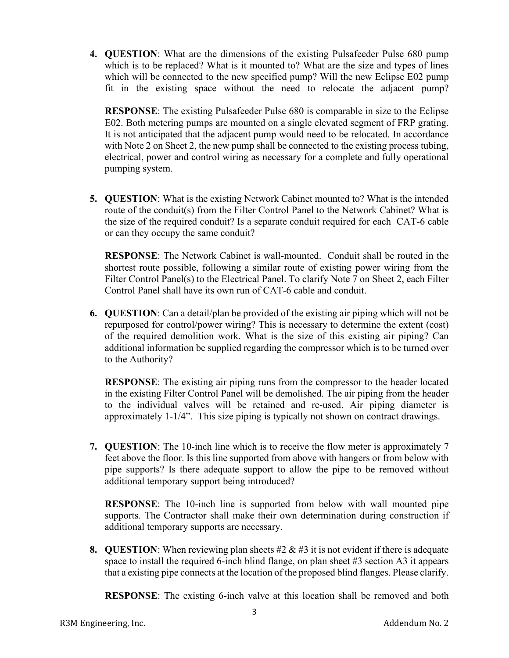**4. QUESTION**: What are the dimensions of the existing Pulsafeeder Pulse 680 pump which is to be replaced? What is it mounted to? What are the size and types of lines which will be connected to the new specified pump? Will the new Eclipse E02 pump fit in the existing space without the need to relocate the adjacent pump?

**RESPONSE**: The existing Pulsafeeder Pulse 680 is comparable in size to the Eclipse E02. Both metering pumps are mounted on a single elevated segment of FRP grating. It is not anticipated that the adjacent pump would need to be relocated. In accordance with Note 2 on Sheet 2, the new pump shall be connected to the existing process tubing, electrical, power and control wiring as necessary for a complete and fully operational pumping system.

**5. QUESTION**: What is the existing Network Cabinet mounted to? What is the intended route of the conduit(s) from the Filter Control Panel to the Network Cabinet? What is the size of the required conduit? Is a separate conduit required for each CAT-6 cable or can they occupy the same conduit?

**RESPONSE**: The Network Cabinet is wall-mounted. Conduit shall be routed in the shortest route possible, following a similar route of existing power wiring from the Filter Control Panel(s) to the Electrical Panel. To clarify Note 7 on Sheet 2, each Filter Control Panel shall have its own run of CAT-6 cable and conduit.

**6. QUESTION**: Can a detail/plan be provided of the existing air piping which will not be repurposed for control/power wiring? This is necessary to determine the extent (cost) of the required demolition work. What is the size of this existing air piping? Can additional information be supplied regarding the compressor which is to be turned over to the Authority?

**RESPONSE**: The existing air piping runs from the compressor to the header located in the existing Filter Control Panel will be demolished. The air piping from the header to the individual valves will be retained and re-used. Air piping diameter is approximately 1-1/4". This size piping is typically not shown on contract drawings.

**7. QUESTION**: The 10-inch line which is to receive the flow meter is approximately 7 feet above the floor. Is this line supported from above with hangers or from below with pipe supports? Is there adequate support to allow the pipe to be removed without additional temporary support being introduced?

**RESPONSE**: The 10-inch line is supported from below with wall mounted pipe supports. The Contractor shall make their own determination during construction if additional temporary supports are necessary.

**8. QUESTION**: When reviewing plan sheets #2 & #3 it is not evident if there is adequate space to install the required 6-inch blind flange, on plan sheet #3 section A3 it appears that a existing pipe connects at the location of the proposed blind flanges. Please clarify.

**RESPONSE:** The existing 6-inch valve at this location shall be removed and both